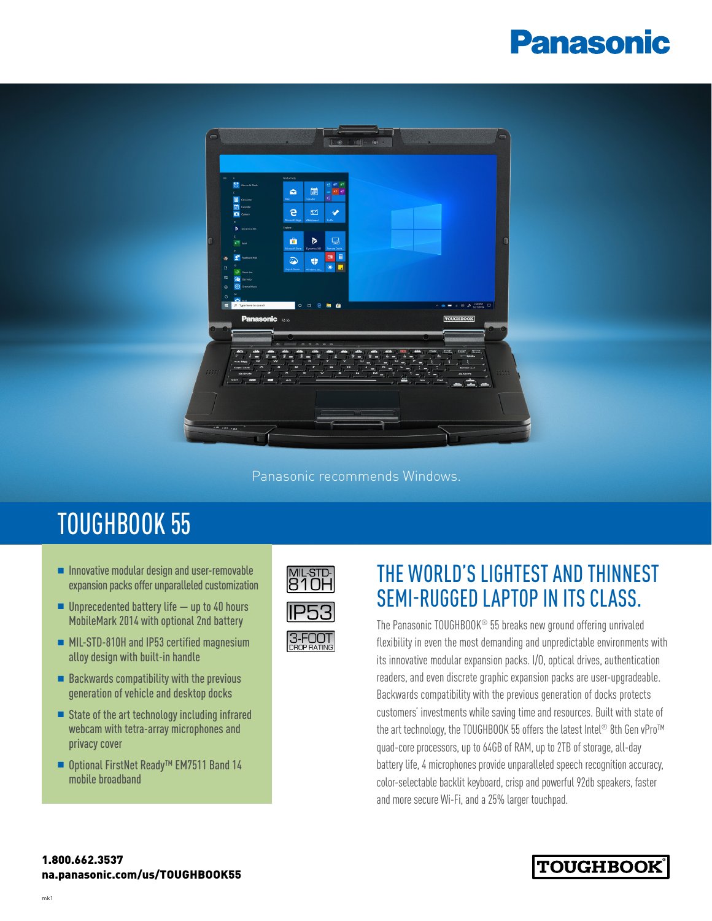# **Panasonic**



Panasonic recommends Windows.

## TOUGHBOOK 55

- $\blacksquare$  Innovative modular design and user-removable expansion packs offer unparalleled customization
- $\blacksquare$  Unprecedented battery life  $-$  up to 40 hours MobileMark 2014 with optional 2nd battery
- MIL-STD-810H and IP53 certified magnesium alloy design with built-in handle
- $\blacksquare$  Backwards compatibility with the previous generation of vehicle and desktop docks
- $\blacksquare$  State of the art technology including infrared webcam with tetra-array microphones and privacy cover
- Optional FirstNet Ready<sup>™</sup> EM7511 Band 14 mobile broadband



### THE WORLD'S LIGHTEST AND THINNEST SEMI-RUGGED LAPTOP IN ITS CLASS.

The Panasonic TOUGHBOOK® 55 breaks new ground offering unrivaled flexibility in even the most demanding and unpredictable environments with its innovative modular expansion packs. I/O, optical drives, authentication readers, and even discrete graphic expansion packs are user-upgradeable. Backwards compatibility with the previous generation of docks protects customers' investments while saving time and resources. Built with state of the art technology, the TOUGHBOOK 55 offers the latest Intel® 8th Gen vPro™ quad-core processors, up to 64GB of RAM, up to 2TB of storage, all-day battery life, 4 microphones provide unparalleled speech recognition accuracy, color-selectable backlit keyboard, crisp and powerful 92db speakers, faster and more secure Wi-Fi, and a 25% larger touchpad.